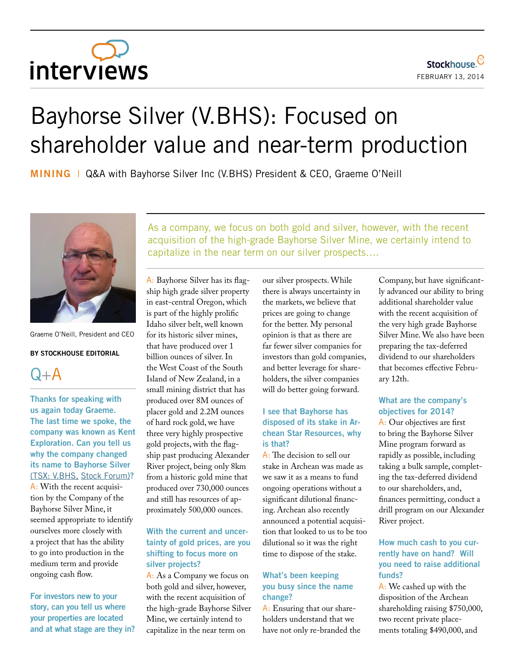# interviews

## Bayhorse Silver (V.BHS): Focused on shareholder value and near-term production

**MINING** |Q&A with Bayhorse Silver Inc (V.BHS) President & CEO, Graeme O'Neill



Graeme O'Neill, President and CEO

#### **By Stockhouse Editorial**



**Thanks for speaking with us again today Graeme. The last time we spoke, the company was known as Kent Exploration. Can you tell us why the company changed its name to Bayhorse Silver**  [\(TSX: V.BHS,](http://www.stockhouse.com/companies/quote/v.bhs/bayhorse-silver-inc) [Stock Forum\)](http://www.stockhouse.com/companies/bullboard/v.bhs/bayhorse-silver-inc)**?**

A: With the recent acquisition by the Company of the Bayhorse Silver Mine, it seemed appropriate to identify ourselves more closely with a project that has the ability to go into production in the medium term and provide ongoing cash flow.

**For investors new to your story, can you tell us where your properties are located and at what stage are they in?** As a company, we focus on both gold and silver, however, with the recent acquisition of the high-grade Bayhorse Silver Mine, we certainly intend to capitalize in the near term on our silver prospects….

A: Bayhorse Silver has its flagship high grade silver property in east-central Oregon, which is part of the highly prolific Idaho silver belt, well known for its historic silver mines, that have produced over 1 billion ounces of silver. In the West Coast of the South Island of New Zealand, in a small mining district that has produced over 8M ounces of placer gold and 2.2M ounces of hard rock gold, we have three very highly prospective gold projects, with the flagship past producing Alexander River project, being only 8km from a historic gold mine that produced over 730,000 ounces and still has resources of approximately 500,000 ounces.

#### **With the current and uncertainty of gold prices, are you shifting to focus more on silver projects?**

A: As a Company we focus on both gold and silver, however, with the recent acquisition of the high-grade Bayhorse Silver Mine, we certainly intend to capitalize in the near term on

our silver prospects. While there is always uncertainty in the markets, we believe that prices are going to change for the better. My personal opinion is that as there are far fewer silver companies for investors than gold companies, and better leverage for shareholders, the silver companies will do better going forward.

#### **I see that Bayhorse has disposed of its stake in Archean Star Resources, why is that?**

A: The decision to sell our stake in Archean was made as we saw it as a means to fund ongoing operations without a significant dilutional financing. Archean also recently announced a potential acquisition that looked to us to be too dilutional so it was the right time to dispose of the stake.

#### **What's been keeping you busy since the name change?**

A: Ensuring that our shareholders understand that we have not only re-branded the Company, but have significantly advanced our ability to bring additional shareholder value with the recent acquisition of the very high grade Bayhorse Silver Mine. We also have been preparing the tax-deferred dividend to our shareholders that becomes effective February 12th.

#### **What are the company's objectives for 2014?**

A: Our objectives are first to bring the Bayhorse Silver Mine program forward as rapidly as possible, including taking a bulk sample, completing the tax-deferred dividend to our shareholders, and, finances permitting, conduct a drill program on our Alexander River project.

### **How much cash to you currently have on hand? Will you need to raise additional funds?**

A: We cashed up with the disposition of the Archean shareholding raising \$750,000, two recent private placements totaling \$490,000, and